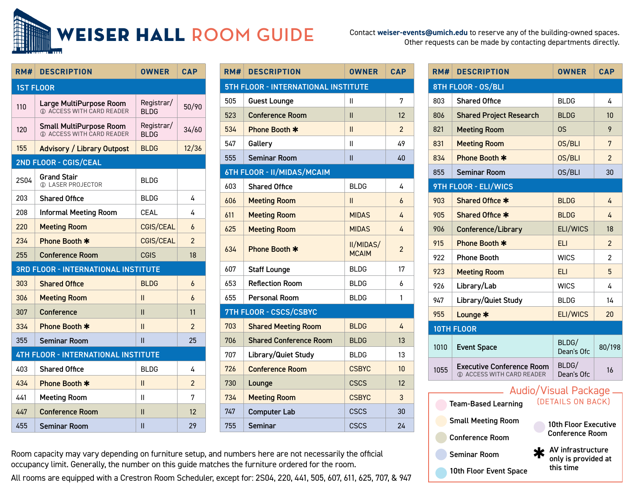

Other requests can be made by contacting departments directly.

| RM#                                        | <b>DESCRIPTION</b>                                          | <b>OWNER</b>               | <b>CAP</b>     |  |  |  |
|--------------------------------------------|-------------------------------------------------------------|----------------------------|----------------|--|--|--|
| <b>1ST FLOOR</b>                           |                                                             |                            |                |  |  |  |
| 110                                        | Large MultiPurpose Room<br>1 ACCESS WITH CARD READER        | Registrar/<br><b>BI DG</b> | 50/90          |  |  |  |
| 120                                        | <b>Small MultiPurpose Room</b><br>1 ACCESS WITH CARD READER | Registrar/<br><b>BLDG</b>  | 34/60          |  |  |  |
| 155                                        | <b>Advisory / Library Outpost</b>                           | <b>BLDG</b>                | 12/36          |  |  |  |
|                                            | 2ND FLOOR - CGIS/CEAL                                       |                            |                |  |  |  |
| <b>2S04</b>                                | <b>Grand Stair</b><br><b>1) LASER PROJECTOR</b>             | <b>BLDG</b>                |                |  |  |  |
| 203                                        | <b>Shared Office</b>                                        | <b>BLDG</b>                | 4              |  |  |  |
| 208                                        | <b>Informal Meeting Room</b>                                | CEAL                       | 4              |  |  |  |
| 220                                        | <b>Meeting Room</b>                                         | <b>CGIS/CEAL</b>           | $\overline{b}$ |  |  |  |
| 234                                        | Phone Booth *                                               | <b>CGIS/CEAL</b>           | $\mathfrak{p}$ |  |  |  |
| 255                                        | <b>Conference Room</b>                                      | CGIS                       | 18             |  |  |  |
| <b>3RD FLOOR - INTERNATIONAL INSTITUTE</b> |                                                             |                            |                |  |  |  |
| 303                                        | <b>Shared Office</b>                                        | <b>BLDG</b>                | 6              |  |  |  |
| 306                                        | <b>Meeting Room</b>                                         | Ш                          | 6              |  |  |  |
| 307                                        | Conference                                                  | Ш                          | 11             |  |  |  |
| 334                                        | Phone Booth *                                               | Ш                          | $\overline{c}$ |  |  |  |
| 355                                        | Seminar Room                                                | Ш                          | 25             |  |  |  |
| <b>4TH FLOOR - INTERNATIONAL INSTITUTE</b> |                                                             |                            |                |  |  |  |
| 403                                        | <b>Shared Office</b>                                        | <b>BLDG</b>                | 4              |  |  |  |
| 434                                        | Phone Booth *                                               | Ш                          | $\overline{2}$ |  |  |  |
| 441                                        | <b>Meeting Room</b>                                         | Ш                          | 7              |  |  |  |
| 447                                        | <b>Conference Room</b>                                      | Ш                          | 12             |  |  |  |
| 455                                        | <b>Seminar Room</b>                                         | Ш                          | 29             |  |  |  |

| RM#                                 | <b>DESCRIPTION</b>            | <b>OWNER</b>              | <b>CAP</b>      |  |  |  |
|-------------------------------------|-------------------------------|---------------------------|-----------------|--|--|--|
| 5TH FLOOR - INTERNATIONAL INSTITUTE |                               |                           |                 |  |  |  |
| 505                                 | <b>Guest Lounge</b>           | Ш                         | 7               |  |  |  |
| 523                                 | <b>Conference Room</b>        | П                         | 12              |  |  |  |
| 534                                 | Phone Booth *                 | Ш                         | $\overline{2}$  |  |  |  |
| 547                                 | Gallery                       | Ш                         | 49              |  |  |  |
| 555                                 | <b>Seminar Room</b>           | Ш                         | 40              |  |  |  |
| 6TH FLOOR - II/MIDAS/MCAIM          |                               |                           |                 |  |  |  |
| 603                                 | <b>Shared Office</b>          | <b>BLDG</b>               | 4               |  |  |  |
| 606                                 | <b>Meeting Room</b>           | Ш                         | 6               |  |  |  |
| 611                                 | <b>Meeting Room</b>           | <b>MIDAS</b>              | 4               |  |  |  |
| 625                                 | <b>Meeting Room</b>           | <b>MIDAS</b>              | 4               |  |  |  |
| 634                                 | Phone Booth *                 | II/MIDAS/<br><b>MCAIM</b> | 2               |  |  |  |
| 607                                 | <b>Staff Lounge</b>           | <b>BLDG</b>               | 17              |  |  |  |
| 653                                 | <b>Reflection Room</b>        | <b>BLDG</b>               | 6               |  |  |  |
| 655                                 | <b>Personal Room</b>          | <b>BLDG</b>               | 1               |  |  |  |
| 7TH FLOOR - CSCS/CSBYC              |                               |                           |                 |  |  |  |
| 703                                 | <b>Shared Meeting Room</b>    | <b>BLDG</b>               | 4               |  |  |  |
| 706                                 | <b>Shared Conference Room</b> | <b>BLDG</b>               | 13              |  |  |  |
| 707                                 | Library/Quiet Study           | <b>BLDG</b>               | 13              |  |  |  |
| 726                                 | <b>Conference Room</b>        | <b>CSBYC</b>              | 10 <sup>1</sup> |  |  |  |
| 730                                 | Lounge                        | <b>CSCS</b>               | 12              |  |  |  |
| 734                                 | <b>Meeting Room</b>           | <b>CSBYC</b>              | 3               |  |  |  |
| 747                                 | <b>Computer Lab</b>           | <b>CSCS</b>               | 30              |  |  |  |
| 755                                 | <b>Seminar</b>                | CSCS                      | 24              |  |  |  |

| RM#                                                                            | <b>DESCRIPTION</b>                                            | <b>OWNER</b>        | <b>CAP</b>     |  |  |  |
|--------------------------------------------------------------------------------|---------------------------------------------------------------|---------------------|----------------|--|--|--|
| 8TH FLOOR - OS/BLI                                                             |                                                               |                     |                |  |  |  |
| 803                                                                            | <b>Shared Office</b>                                          | <b>BLDG</b>         | 4              |  |  |  |
| 806                                                                            | <b>Shared Project Research</b>                                | <b>BLDG</b>         | 10             |  |  |  |
| 821                                                                            | <b>Meeting Room</b>                                           | OS                  | 9              |  |  |  |
| 831                                                                            | <b>Meeting Room</b>                                           | 0S/BLI              | 7              |  |  |  |
| 834                                                                            | Phone Booth *                                                 | 0S/BLI              | $\overline{2}$ |  |  |  |
| 855                                                                            | <b>Seminar Room</b>                                           | 0S/BLI              | 30             |  |  |  |
|                                                                                | 9TH FLOOR - ELI/WICS                                          |                     |                |  |  |  |
| 903                                                                            | Shared Office *                                               | <b>BLDG</b>         | 4              |  |  |  |
| 905                                                                            | Shared Office *                                               | <b>BLDG</b>         | 4              |  |  |  |
| 906                                                                            | Conference/Library                                            | ELI/WICS            | 18             |  |  |  |
| 915                                                                            | Phone Booth *                                                 | <b>ELI</b>          | $\overline{2}$ |  |  |  |
| 922                                                                            | <b>Phone Booth</b>                                            | <b>WICS</b>         | $\overline{2}$ |  |  |  |
| 923                                                                            | <b>Meeting Room</b>                                           | <b>ELI</b>          | 5              |  |  |  |
| 926                                                                            | Library/Lab                                                   | <b>WICS</b>         | 4              |  |  |  |
| 947                                                                            | Library/Quiet Study                                           | <b>BLDG</b>         | 14             |  |  |  |
| 955                                                                            | Lounge *                                                      | ELI/WICS            | 20             |  |  |  |
|                                                                                | <b>10TH FLOOR</b>                                             |                     |                |  |  |  |
| 1010                                                                           | <b>Event Space</b>                                            | BLDG/<br>Dean's Ofc | 80/198         |  |  |  |
| 1055                                                                           | <b>Executive Conference Room</b><br>1 ACCESS WITH CARD READER | BLDG/<br>Dean's Ofc | 16             |  |  |  |
| <b>Audio/Visual Package</b><br>(DETAILS ON BACK)<br><b>Team-Based Learning</b> |                                                               |                     |                |  |  |  |

**Small Meeting Room** 

10th Floor Executive Conference Room

✱ AV infrastructure only is provided at this time

Conference Room Seminar Room 10th Floor Event Space Room capacity may vary depending on furniture setup, and numbers here are not necessarily the official occupancy limit. Generally, the number on this guide matches the furniture ordered for the room.

All rooms are equipped with a Crestron Room Scheduler, except for: 2S04, 220, 441, 505, 607, 611, 625, 707, & 947